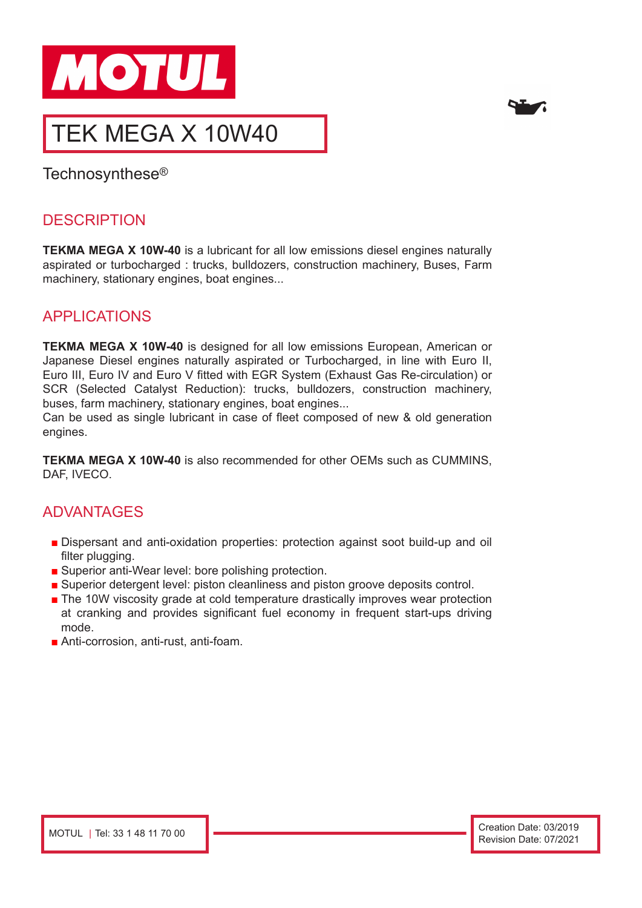



# TEK MEGA X 10W40

Technosynthese®

#### **DESCRIPTION**

**TEKMA MEGA X 10W-40** is a lubricant for all low emissions diesel engines naturally aspirated or turbocharged : trucks, bulldozers, construction machinery, Buses, Farm machinery, stationary engines, boat engines...

## APPLICATIONS

**TEKMA MEGA X 10W-40** is designed for all low emissions European, American or Japanese Diesel engines naturally aspirated or Turbocharged, in line with Euro II, Euro III, Euro IV and Euro V fitted with EGR System (Exhaust Gas Re-circulation) or SCR (Selected Catalyst Reduction): trucks, bulldozers, construction machinery, buses, farm machinery, stationary engines, boat engines...

Can be used as single lubricant in case of fleet composed of new & old generation engines.

**TEKMA MEGA X 10W-40** is also recommended for other OEMs such as CUMMINS, DAF, IVECO.

## ADVANTAGES

- Dispersant and anti-oxidation properties: protection against soot build-up and oil filter plugging.
- Superior anti-Wear level: bore polishing protection.
- Superior detergent level: piston cleanliness and piston groove deposits control.
- The 10W viscosity grade at cold temperature drastically improves wear protection at cranking and provides significant fuel economy in frequent start-ups driving mode.
- Anti-corrosion, anti-rust, anti-foam.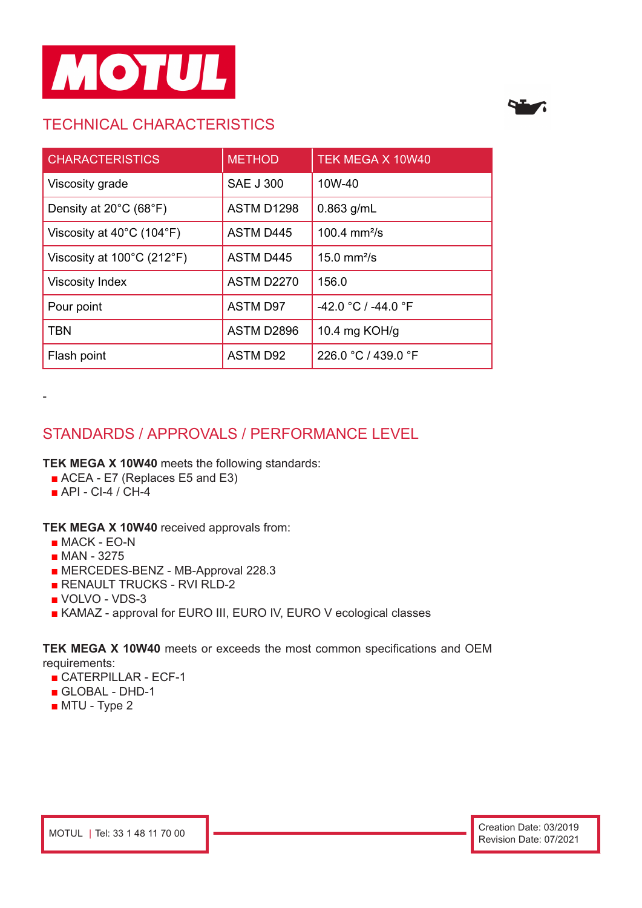

## TECHNICAL CHARACTERISTICS



| <b>CHARACTERISTICS</b>     | <b>METHOD</b>     | <b>TEK MEGA X 10W40</b> |
|----------------------------|-------------------|-------------------------|
| Viscosity grade            | <b>SAE J 300</b>  | 10W-40                  |
| Density at 20°C (68°F)     | ASTM D1298        | $0.863$ g/mL            |
| Viscosity at 40°C (104°F)  | <b>ASTM D445</b>  | 100.4 $mm^2/s$          |
| Viscosity at 100°C (212°F) | <b>ASTM D445</b>  | 15.0 mm $^{2}/s$        |
| <b>Viscosity Index</b>     | <b>ASTM D2270</b> | 156.0                   |
| Pour point                 | <b>ASTM D97</b>   | -42.0 °C / -44.0 °F     |
| <b>TBN</b>                 | ASTM D2896        | 10.4 mg $KOH/g$         |
| Flash point                | <b>ASTM D92</b>   | 226.0 °C / 439.0 °F     |

## STANDARDS / APPROVALS / PERFORMANCE LEVEL

**TEK MEGA X 10W40** meets the following standards:

- ACEA E7 (Replaces E5 and E3)
- API CI-4 / CH-4

**TEK MEGA X 10W40** received approvals from:

- MACK EO-N
- MAN 3275

-

- MERCEDES-BENZ MB-Approval 228.3
- RENAULT TRUCKS RVI RLD-2
- VOLVO VDS-3
- KAMAZ approval for EURO III, EURO IV, EURO V ecological classes

**TEK MEGA X 10W40** meets or exceeds the most common specifications and OEM requirements:

- CATERPILLAR ECF-1
- GLOBAL DHD-1
- MTU Type 2